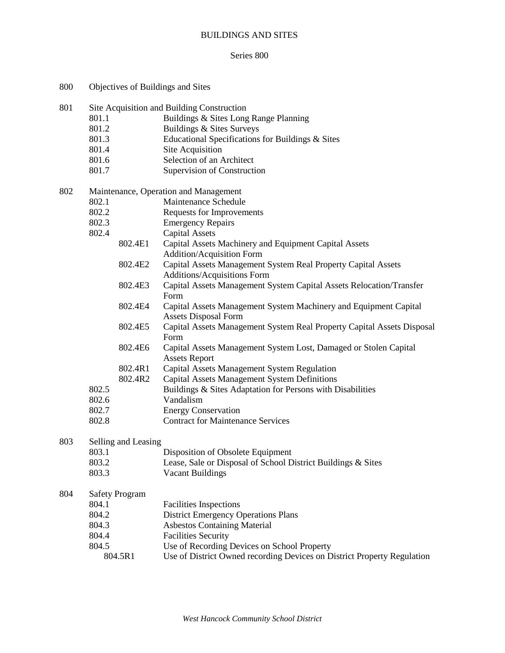# BUILDINGS AND SITES

#### Series 800

| 800 | Objectives of Buildings and Sites                                                                                                                            |                                                                                                                                                                                                                                                                                                                                                                                                                                                                                                                                                                                                                                                                                                                                                                                                                                                                                                                                                                                |  |
|-----|--------------------------------------------------------------------------------------------------------------------------------------------------------------|--------------------------------------------------------------------------------------------------------------------------------------------------------------------------------------------------------------------------------------------------------------------------------------------------------------------------------------------------------------------------------------------------------------------------------------------------------------------------------------------------------------------------------------------------------------------------------------------------------------------------------------------------------------------------------------------------------------------------------------------------------------------------------------------------------------------------------------------------------------------------------------------------------------------------------------------------------------------------------|--|
| 801 | 801.1<br>801.2<br>801.3<br>801.4<br>801.6<br>801.7                                                                                                           | Site Acquisition and Building Construction<br>Buildings & Sites Long Range Planning<br>Buildings & Sites Surveys<br>Educational Specifications for Buildings & Sites<br><b>Site Acquisition</b><br>Selection of an Architect<br>Supervision of Construction                                                                                                                                                                                                                                                                                                                                                                                                                                                                                                                                                                                                                                                                                                                    |  |
| 802 | 802.1<br>802.2<br>802.3<br>802.4<br>802.4E1<br>802.4E2<br>802.4E3<br>802.4E4<br>802.4E5<br>802.4E6<br>802.4R1<br>802.4R2<br>802.5<br>802.6<br>802.7<br>802.8 | Maintenance, Operation and Management<br>Maintenance Schedule<br>Requests for Improvements<br><b>Emergency Repairs</b><br><b>Capital Assets</b><br>Capital Assets Machinery and Equipment Capital Assets<br><b>Addition/Acquisition Form</b><br>Capital Assets Management System Real Property Capital Assets<br><b>Additions/Acquisitions Form</b><br>Capital Assets Management System Capital Assets Relocation/Transfer<br>Form<br>Capital Assets Management System Machinery and Equipment Capital<br><b>Assets Disposal Form</b><br>Capital Assets Management System Real Property Capital Assets Disposal<br>Form<br>Capital Assets Management System Lost, Damaged or Stolen Capital<br><b>Assets Report</b><br>Capital Assets Management System Regulation<br><b>Capital Assets Management System Definitions</b><br>Buildings & Sites Adaptation for Persons with Disabilities<br>Vandalism<br><b>Energy Conservation</b><br><b>Contract for Maintenance Services</b> |  |
| 803 | Selling and Leasing<br>803.1<br>803.2<br>803.3                                                                                                               | Disposition of Obsolete Equipment<br>Lease, Sale or Disposal of School District Buildings & Sites<br><b>Vacant Buildings</b>                                                                                                                                                                                                                                                                                                                                                                                                                                                                                                                                                                                                                                                                                                                                                                                                                                                   |  |
| 804 | <b>Safety Program</b><br>804.1<br>804.2<br>804.3<br>804.4<br>804.5<br>804.5R1                                                                                | <b>Facilities Inspections</b><br><b>District Emergency Operations Plans</b><br><b>Asbestos Containing Material</b><br><b>Facilities Security</b><br>Use of Recording Devices on School Property<br>Use of District Owned recording Devices on District Property Regulation                                                                                                                                                                                                                                                                                                                                                                                                                                                                                                                                                                                                                                                                                                     |  |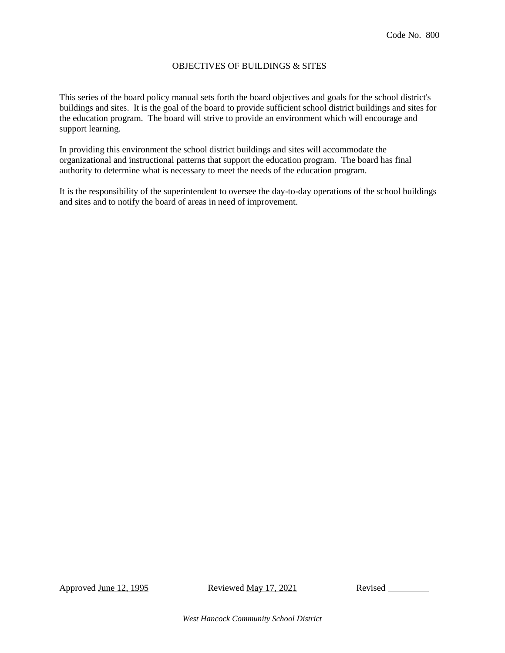### OBJECTIVES OF BUILDINGS & SITES

This series of the board policy manual sets forth the board objectives and goals for the school district's buildings and sites. It is the goal of the board to provide sufficient school district buildings and sites for the education program. The board will strive to provide an environment which will encourage and support learning.

In providing this environment the school district buildings and sites will accommodate the organizational and instructional patterns that support the education program. The board has final authority to determine what is necessary to meet the needs of the education program.

It is the responsibility of the superintendent to oversee the day-to-day operations of the school buildings and sites and to notify the board of areas in need of improvement.

Approved June 12, 1995 Reviewed May 17, 2021 Revised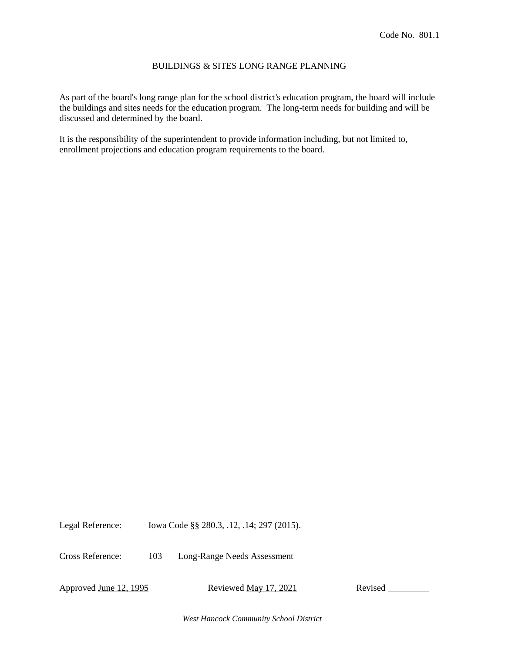#### BUILDINGS & SITES LONG RANGE PLANNING

As part of the board's long range plan for the school district's education program, the board will include the buildings and sites needs for the education program. The long-term needs for building and will be discussed and determined by the board.

It is the responsibility of the superintendent to provide information including, but not limited to, enrollment projections and education program requirements to the board.

Legal Reference: Iowa Code §§ 280.3, .12, .14; 297 (2015).

Cross Reference: 103 Long-Range Needs Assessment

Approved June 12, 1995 Reviewed May 17, 2021 Revised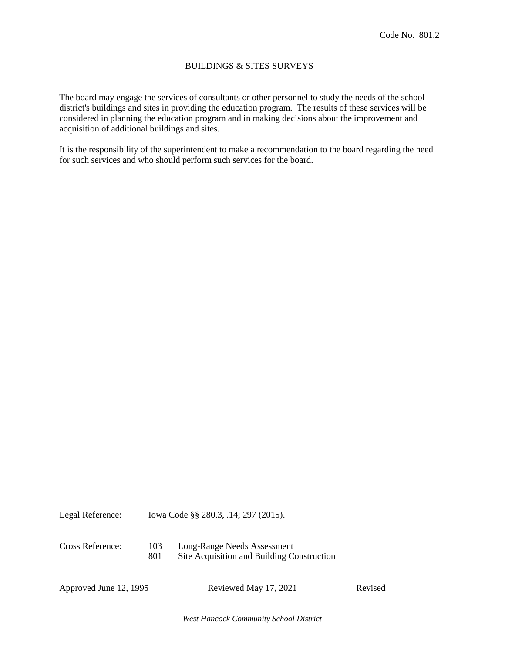#### BUILDINGS & SITES SURVEYS

The board may engage the services of consultants or other personnel to study the needs of the school district's buildings and sites in providing the education program. The results of these services will be considered in planning the education program and in making decisions about the improvement and acquisition of additional buildings and sites.

It is the responsibility of the superintendent to make a recommendation to the board regarding the need for such services and who should perform such services for the board.

| Legal Reference: | Iowa Code §§ 280.3, .14; 297 (2015). |                                                                           |
|------------------|--------------------------------------|---------------------------------------------------------------------------|
| Cross Reference: | 103<br>801                           | Long-Range Needs Assessment<br>Site Acquisition and Building Construction |

Approved June 12, 1995 Reviewed May 17, 2021 Revised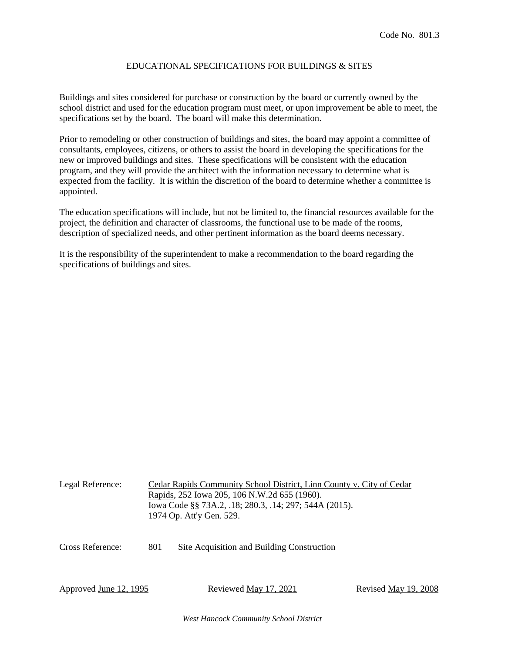### EDUCATIONAL SPECIFICATIONS FOR BUILDINGS & SITES

Buildings and sites considered for purchase or construction by the board or currently owned by the school district and used for the education program must meet, or upon improvement be able to meet, the specifications set by the board. The board will make this determination.

Prior to remodeling or other construction of buildings and sites, the board may appoint a committee of consultants, employees, citizens, or others to assist the board in developing the specifications for the new or improved buildings and sites. These specifications will be consistent with the education program, and they will provide the architect with the information necessary to determine what is expected from the facility. It is within the discretion of the board to determine whether a committee is appointed.

The education specifications will include, but not be limited to, the financial resources available for the project, the definition and character of classrooms, the functional use to be made of the rooms, description of specialized needs, and other pertinent information as the board deems necessary.

It is the responsibility of the superintendent to make a recommendation to the board regarding the specifications of buildings and sites.

| Legal Reference:              |     | Cedar Rapids Community School District, Linn County v. City of Cedar<br>Rapids, 252 Iowa 205, 106 N.W.2d 655 (1960).<br>Iowa Code §§ 73A.2, .18; 280.3, .14; 297; 544A (2015).<br>1974 Op. Att'y Gen. 529. |                      |
|-------------------------------|-----|------------------------------------------------------------------------------------------------------------------------------------------------------------------------------------------------------------|----------------------|
| Cross Reference:              | 801 | Site Acquisition and Building Construction                                                                                                                                                                 |                      |
| Approved <u>June 12, 1995</u> |     | Reviewed May 17, 2021                                                                                                                                                                                      | Revised May 19, 2008 |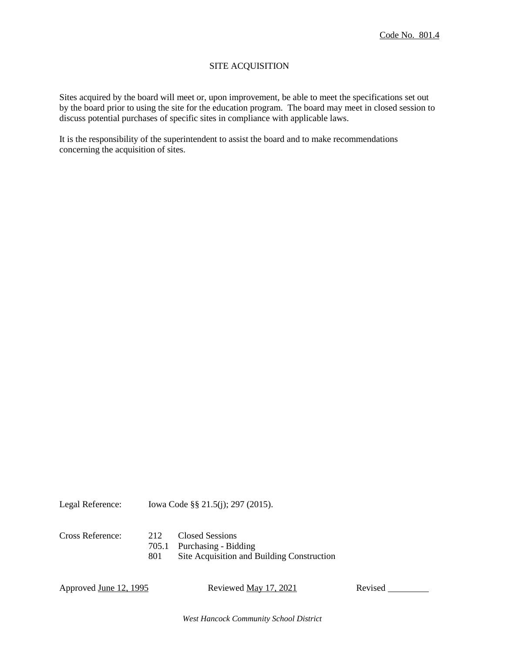### SITE ACQUISITION

Sites acquired by the board will meet or, upon improvement, be able to meet the specifications set out by the board prior to using the site for the education program. The board may meet in closed session to discuss potential purchases of specific sites in compliance with applicable laws.

It is the responsibility of the superintendent to assist the board and to make recommendations concerning the acquisition of sites.

Legal Reference: Iowa Code §§ 21.5(j); 297 (2015).

| <b>Cross Reference:</b> | 212 | Closed Sessions                            |
|-------------------------|-----|--------------------------------------------|
|                         |     | 705.1 Purchasing - Bidding                 |
|                         | 801 | Site Acquisition and Building Construction |

Approved June 12, 1995 Reviewed May 17, 2021 Revised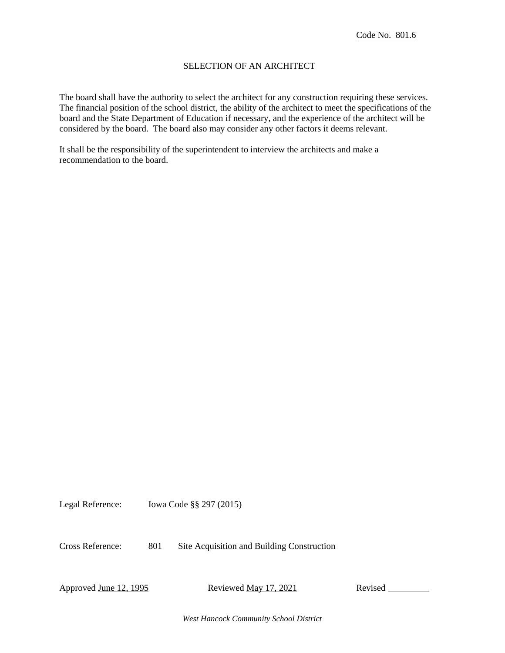## SELECTION OF AN ARCHITECT

The board shall have the authority to select the architect for any construction requiring these services. The financial position of the school district, the ability of the architect to meet the specifications of the board and the State Department of Education if necessary, and the experience of the architect will be considered by the board. The board also may consider any other factors it deems relevant.

It shall be the responsibility of the superintendent to interview the architects and make a recommendation to the board.

Legal Reference: Iowa Code §§ 297 (2015)

Cross Reference: 801 Site Acquisition and Building Construction

Approved June 12, 1995 Reviewed May 17, 2021 Revised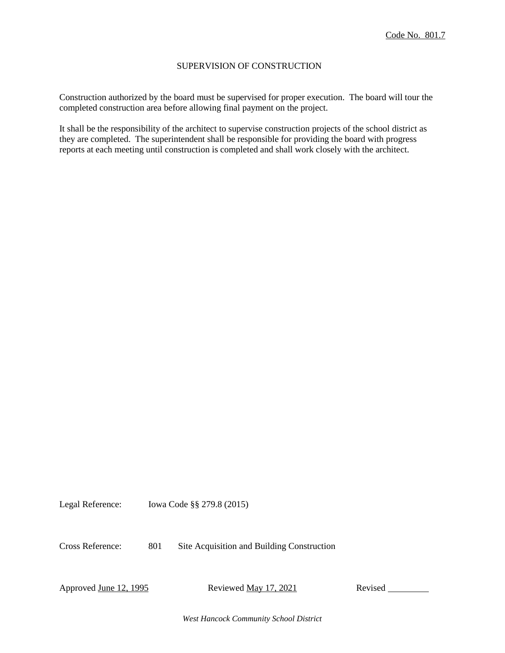#### SUPERVISION OF CONSTRUCTION

Construction authorized by the board must be supervised for proper execution. The board will tour the completed construction area before allowing final payment on the project.

It shall be the responsibility of the architect to supervise construction projects of the school district as they are completed. The superintendent shall be responsible for providing the board with progress reports at each meeting until construction is completed and shall work closely with the architect.

Legal Reference: Iowa Code §§ 279.8 (2015)

Cross Reference: 801 Site Acquisition and Building Construction

Approved <u>June 12, 1995</u> Reviewed <u>May 17, 2021</u> Revised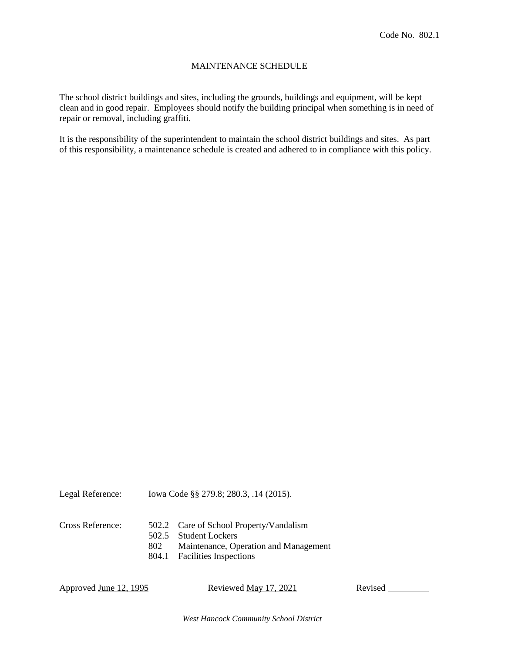### MAINTENANCE SCHEDULE

The school district buildings and sites, including the grounds, buildings and equipment, will be kept clean and in good repair. Employees should notify the building principal when something is in need of repair or removal, including graffiti.

It is the responsibility of the superintendent to maintain the school district buildings and sites. As part of this responsibility, a maintenance schedule is created and adhered to in compliance with this policy.

| Legal Reference: | lowa Code §§ 279.8; 280.3, .14 (2015). |
|------------------|----------------------------------------|
|                  |                                        |

| Cross Reference: |     | 502.2 Care of School Property/Vandalism |
|------------------|-----|-----------------------------------------|
|                  |     | 502.5 Student Lockers                   |
|                  | 802 | Maintenance, Operation and Management   |
|                  |     | 804.1 Facilities Inspections            |

Approved June 12, 1995 Reviewed May 17, 2021 Revised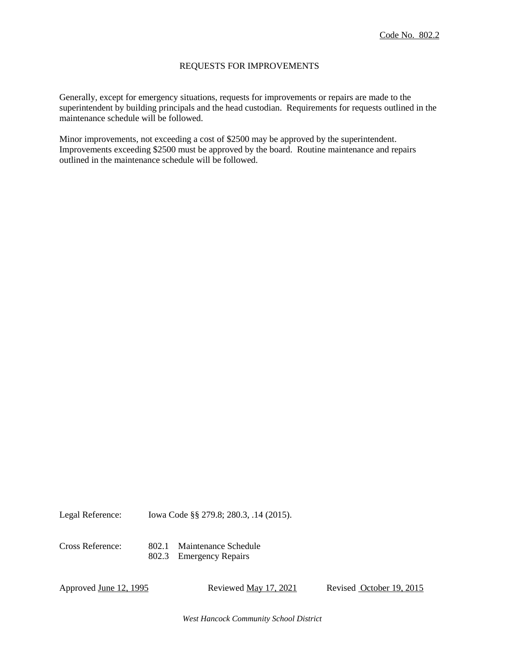#### REQUESTS FOR IMPROVEMENTS

Generally, except for emergency situations, requests for improvements or repairs are made to the superintendent by building principals and the head custodian. Requirements for requests outlined in the maintenance schedule will be followed.

Minor improvements, not exceeding a cost of \$2500 may be approved by the superintendent. Improvements exceeding \$2500 must be approved by the board. Routine maintenance and repairs outlined in the maintenance schedule will be followed.

Legal Reference: Iowa Code §§ 279.8; 280.3, .14 (2015).

Cross Reference: 802.1 Maintenance Schedule 802.3 Emergency Repairs

Approved June 12, 1995 Reviewed May 17, 2021 Revised October 19, 2015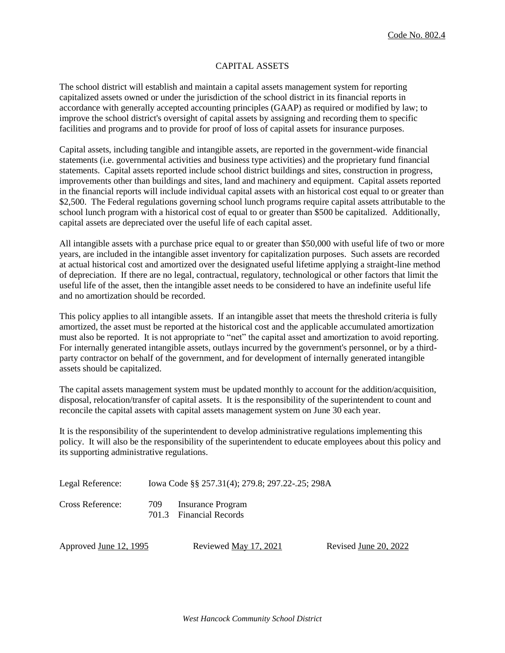### CAPITAL ASSETS

The school district will establish and maintain a capital assets management system for reporting capitalized assets owned or under the jurisdiction of the school district in its financial reports in accordance with generally accepted accounting principles (GAAP) as required or modified by law; to improve the school district's oversight of capital assets by assigning and recording them to specific facilities and programs and to provide for proof of loss of capital assets for insurance purposes.

Capital assets, including tangible and intangible assets, are reported in the government-wide financial statements (i.e. governmental activities and business type activities) and the proprietary fund financial statements. Capital assets reported include school district buildings and sites, construction in progress, improvements other than buildings and sites, land and machinery and equipment. Capital assets reported in the financial reports will include individual capital assets with an historical cost equal to or greater than \$2,500. The Federal regulations governing school lunch programs require capital assets attributable to the school lunch program with a historical cost of equal to or greater than \$500 be capitalized. Additionally, capital assets are depreciated over the useful life of each capital asset.

All intangible assets with a purchase price equal to or greater than \$50,000 with useful life of two or more years, are included in the intangible asset inventory for capitalization purposes. Such assets are recorded at actual historical cost and amortized over the designated useful lifetime applying a straight-line method of depreciation. If there are no legal, contractual, regulatory, technological or other factors that limit the useful life of the asset, then the intangible asset needs to be considered to have an indefinite useful life and no amortization should be recorded.

This policy applies to all intangible assets. If an intangible asset that meets the threshold criteria is fully amortized, the asset must be reported at the historical cost and the applicable accumulated amortization must also be reported. It is not appropriate to "net" the capital asset and amortization to avoid reporting. For internally generated intangible assets, outlays incurred by the government's personnel, or by a thirdparty contractor on behalf of the government, and for development of internally generated intangible assets should be capitalized.

The capital assets management system must be updated monthly to account for the addition/acquisition, disposal, relocation/transfer of capital assets. It is the responsibility of the superintendent to count and reconcile the capital assets with capital assets management system on June 30 each year.

It is the responsibility of the superintendent to develop administrative regulations implementing this policy. It will also be the responsibility of the superintendent to educate employees about this policy and its supporting administrative regulations.

| Legal Reference:         | Iowa Code §§ 257.31(4); 279.8; 297.22-.25; 298A       |
|--------------------------|-------------------------------------------------------|
| $\cap$ n $\cap$ n $\cap$ | $\neg \wedge \wedge$<br>$\mathbf{r}$ and $\mathbf{r}$ |

Cross Reference: 709 Insurance Program 701.3 Financial Records

Approved June 12, 1995 Reviewed May 17, 2021 Revised June 20, 2022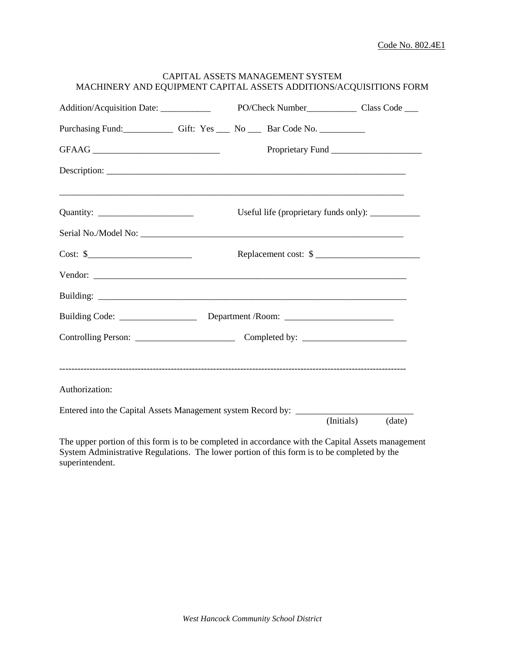| Addition/Acquisition Date: ___________                                |  |                                                   |                      |
|-----------------------------------------------------------------------|--|---------------------------------------------------|----------------------|
| Purchasing Fund: Gift: Yes __ No __ Bar Code No.                      |  |                                                   |                      |
|                                                                       |  |                                                   | Proprietary Fund     |
|                                                                       |  |                                                   |                      |
|                                                                       |  | Useful life (proprietary funds only): ___________ |                      |
|                                                                       |  |                                                   |                      |
| $Cost:$ \$                                                            |  | Replacement cost: \$                              |                      |
|                                                                       |  |                                                   |                      |
|                                                                       |  |                                                   |                      |
|                                                                       |  |                                                   |                      |
|                                                                       |  |                                                   |                      |
| Authorization:                                                        |  |                                                   |                      |
| Entered into the Capital Assets Management system Record by: ________ |  |                                                   | (data)<br>(Initials) |

The upper portion of this form is to be completed in accordance with the Capital Assets management System Administrative Regulations. The lower portion of this form is to be completed by the superintendent.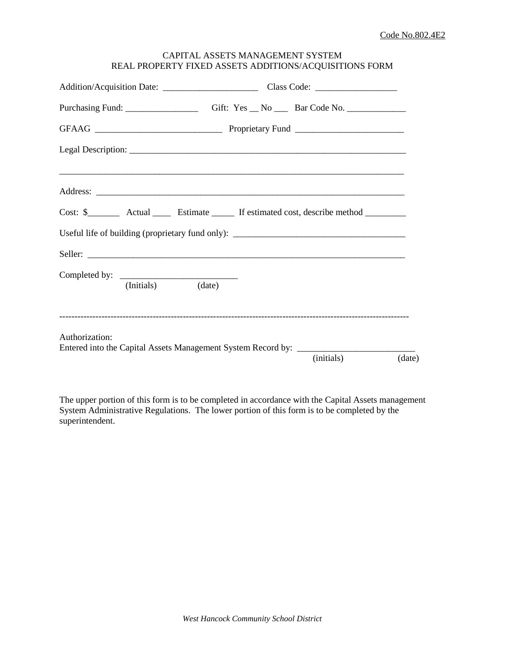## CAPITAL ASSETS MANAGEMENT SYSTEM REAL PROPERTY FIXED ASSETS ADDITIONS/ACQUISITIONS FORM

| Purchasing Fund: __________________________Gift: Yes __ No ______Bar Code No. _____________________ |  |            |        |
|-----------------------------------------------------------------------------------------------------|--|------------|--------|
|                                                                                                     |  |            |        |
|                                                                                                     |  |            |        |
|                                                                                                     |  |            |        |
|                                                                                                     |  |            |        |
| Useful life of building (proprietary fund only): _______________________________                    |  |            |        |
|                                                                                                     |  |            |        |
| (Initials) (date)                                                                                   |  |            |        |
| Authorization:<br>Entered into the Capital Assets Management System Record by: ____________________ |  | (initials) | (date) |

The upper portion of this form is to be completed in accordance with the Capital Assets management System Administrative Regulations. The lower portion of this form is to be completed by the superintendent.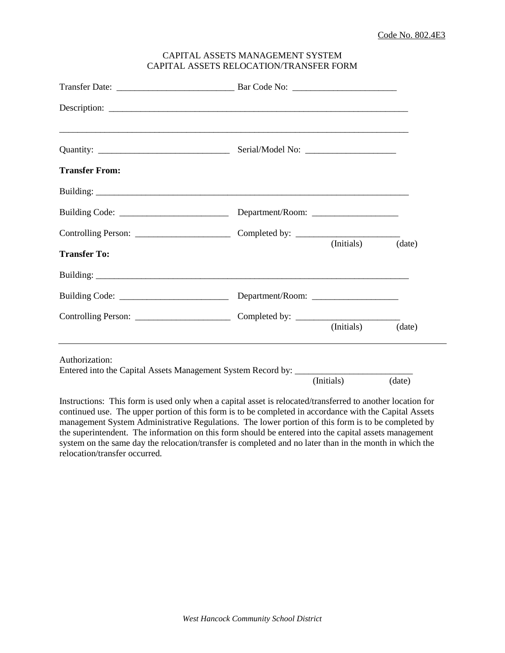### CAPITAL ASSETS MANAGEMENT SYSTEM CAPITAL ASSETS RELOCATION/TRANSFER FORM

| ,我们也不能在这里的人,我们也不能在这里的人,我们也不能在这里的人,我们也不能在这里的人,我们也不能在这里的人,我们也不能在这里的人,我们也不能在这里的人,我们也                   |            |        |
|-----------------------------------------------------------------------------------------------------|------------|--------|
| <b>Transfer From:</b>                                                                               |            |        |
|                                                                                                     |            |        |
|                                                                                                     |            |        |
|                                                                                                     |            |        |
| <b>Transfer To:</b>                                                                                 | (Initials) | (date) |
|                                                                                                     |            |        |
|                                                                                                     |            |        |
|                                                                                                     | (Initials) | (date) |
| Authorization:<br>Entered into the Capital Assets Management System Record by: ____________________ |            |        |
|                                                                                                     | (Initials) | (date) |

Instructions: This form is used only when a capital asset is relocated/transferred to another location for continued use. The upper portion of this form is to be completed in accordance with the Capital Assets management System Administrative Regulations. The lower portion of this form is to be completed by the superintendent. The information on this form should be entered into the capital assets management system on the same day the relocation/transfer is completed and no later than in the month in which the relocation/transfer occurred.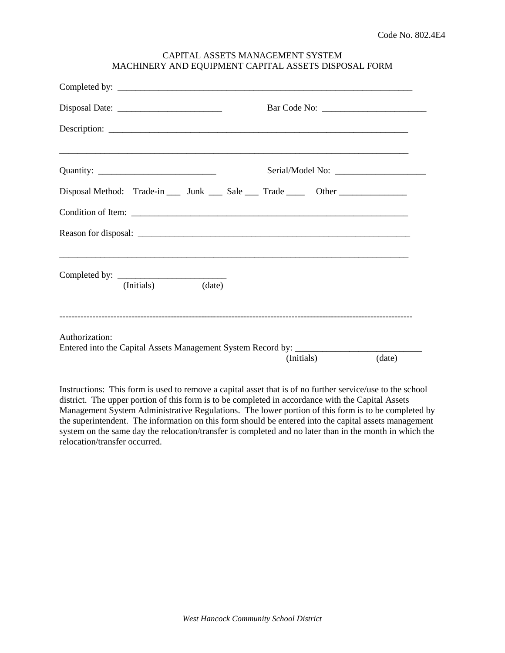| CAPITAL ASSETS MANAGEMENT SYSTEM                     |
|------------------------------------------------------|
| MACHINERY AND EQUIPMENT CAPITAL ASSETS DISPOSAL FORM |

|                   | Disposal Method: Trade-in ____ Junk ____ Sale ____ Trade _____ Other ___________ |
|-------------------|----------------------------------------------------------------------------------|
|                   |                                                                                  |
|                   |                                                                                  |
|                   |                                                                                  |
| (Initials) (date) |                                                                                  |
| Authorization:    | Entered into the Capital Assets Management System Record by: ___________________ |
|                   | (Initials)<br>(date)                                                             |

Instructions: This form is used to remove a capital asset that is of no further service/use to the school district. The upper portion of this form is to be completed in accordance with the Capital Assets Management System Administrative Regulations. The lower portion of this form is to be completed by the superintendent. The information on this form should be entered into the capital assets management system on the same day the relocation/transfer is completed and no later than in the month in which the relocation/transfer occurred.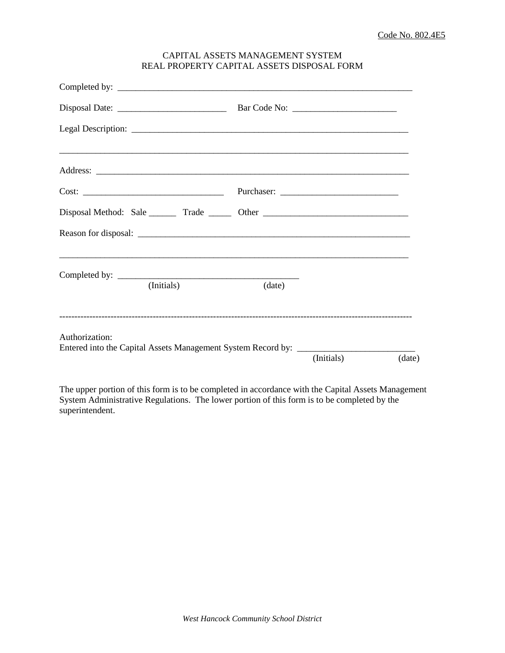## CAPITAL ASSETS MANAGEMENT SYSTEM REAL PROPERTY CAPITAL ASSETS DISPOSAL FORM

| Disposal Method: Sale ________ Trade _______ Other ______________________________                   |            |        |            |        |
|-----------------------------------------------------------------------------------------------------|------------|--------|------------|--------|
|                                                                                                     |            |        |            |        |
|                                                                                                     |            |        |            |        |
|                                                                                                     | (Initials) | (date) |            |        |
| Authorization:<br>Entered into the Capital Assets Management System Record by: ____________________ |            |        |            |        |
|                                                                                                     |            |        | (Initials) | (date) |

The upper portion of this form is to be completed in accordance with the Capital Assets Management System Administrative Regulations. The lower portion of this form is to be completed by the superintendent.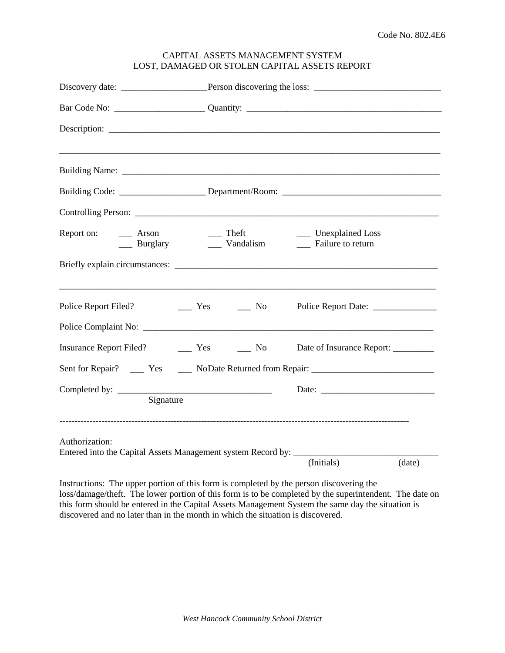|                                                                                          |           |                                                                          |                    | Building Code: ______________________Department/Room: ___________________________                   |        |
|------------------------------------------------------------------------------------------|-----------|--------------------------------------------------------------------------|--------------------|-----------------------------------------------------------------------------------------------------|--------|
|                                                                                          |           |                                                                          |                    |                                                                                                     |        |
| Report on:<br>$\equiv$ Arson                                                             |           | $\equiv$ Theft                                                           | Burglary Mandalism | ___ Unexplained Loss<br>__ Failure to return                                                        |        |
|                                                                                          |           |                                                                          |                    |                                                                                                     |        |
| Police Report Filed?                                                                     |           | $\frac{1}{\sqrt{1-\frac{1}{c}}}$ Yes $\frac{1}{\sqrt{1-\frac{1}{c}}}$ No |                    |                                                                                                     |        |
|                                                                                          |           |                                                                          |                    |                                                                                                     |        |
|                                                                                          |           |                                                                          |                    | Date of Insurance Report: _________                                                                 |        |
|                                                                                          |           |                                                                          |                    | Sent for Repair? _______ Yes _______ NoDate Returned from Repair: _________________________________ |        |
|                                                                                          | Signature |                                                                          |                    |                                                                                                     |        |
| Authorization:<br>Entered into the Capital Assets Management system Record by: _________ |           |                                                                          |                    |                                                                                                     |        |
|                                                                                          |           |                                                                          |                    | (Initials)                                                                                          | (data) |

# CAPITAL ASSETS MANAGEMENT SYSTEM LOST, DAMAGED OR STOLEN CAPITAL ASSETS REPORT

Instructions: The upper portion of this form is completed by the person discovering the loss/damage/theft. The lower portion of this form is to be completed by the superintendent. The date on this form should be entered in the Capital Assets Management System the same day the situation is discovered and no later than in the month in which the situation is discovered.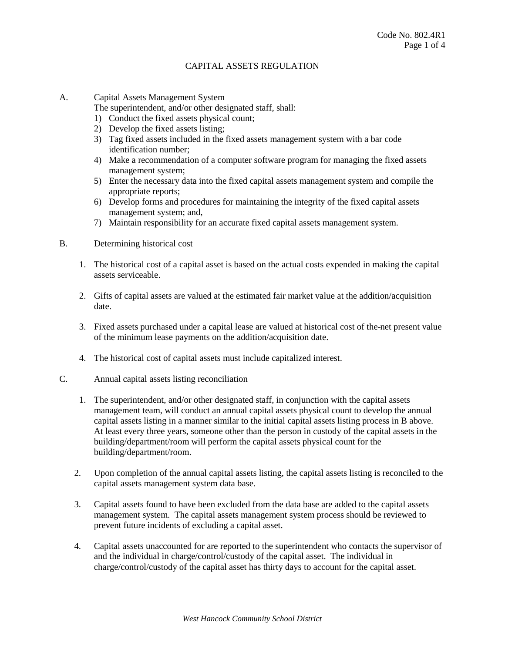A. Capital Assets Management System

The superintendent, and/or other designated staff, shall:

- 1) Conduct the fixed assets physical count;
- 2) Develop the fixed assets listing;
- 3) Tag fixed assets included in the fixed assets management system with a bar code identification number;
- 4) Make a recommendation of a computer software program for managing the fixed assets management system;
- 5) Enter the necessary data into the fixed capital assets management system and compile the appropriate reports;
- 6) Develop forms and procedures for maintaining the integrity of the fixed capital assets management system; and,
- 7) Maintain responsibility for an accurate fixed capital assets management system.
- B. Determining historical cost
	- 1. The historical cost of a capital asset is based on the actual costs expended in making the capital assets serviceable.
	- 2. Gifts of capital assets are valued at the estimated fair market value at the addition/acquisition date.
	- 3. Fixed assets purchased under a capital lease are valued at historical cost of the net present value of the minimum lease payments on the addition/acquisition date.
	- 4. The historical cost of capital assets must include capitalized interest.
- C. Annual capital assets listing reconciliation
	- 1. The superintendent, and/or other designated staff, in conjunction with the capital assets management team, will conduct an annual capital assets physical count to develop the annual capital assets listing in a manner similar to the initial capital assets listing process in B above. At least every three years, someone other than the person in custody of the capital assets in the building/department/room will perform the capital assets physical count for the building/department/room.
	- 2. Upon completion of the annual capital assets listing, the capital assets listing is reconciled to the capital assets management system data base.
	- 3. Capital assets found to have been excluded from the data base are added to the capital assets management system. The capital assets management system process should be reviewed to prevent future incidents of excluding a capital asset.
	- 4. Capital assets unaccounted for are reported to the superintendent who contacts the supervisor of and the individual in charge/control/custody of the capital asset. The individual in charge/control/custody of the capital asset has thirty days to account for the capital asset.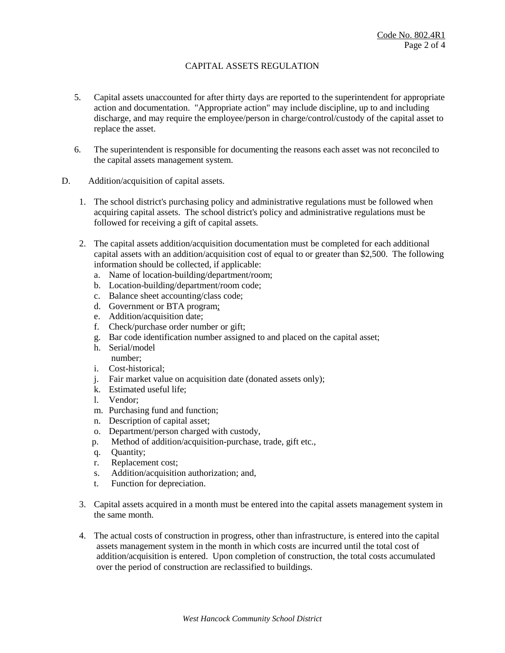- 5. Capital assets unaccounted for after thirty days are reported to the superintendent for appropriate action and documentation. "Appropriate action" may include discipline, up to and including discharge, and may require the employee/person in charge/control/custody of the capital asset to replace the asset.
- 6. The superintendent is responsible for documenting the reasons each asset was not reconciled to the capital assets management system.
- D. Addition/acquisition of capital assets.
	- 1. The school district's purchasing policy and administrative regulations must be followed when acquiring capital assets. The school district's policy and administrative regulations must be followed for receiving a gift of capital assets.
	- 2. The capital assets addition/acquisition documentation must be completed for each additional capital assets with an addition/acquisition cost of equal to or greater than \$2,500. The following information should be collected, if applicable:
		- a. Name of location-building/department/room;
		- b. Location-building/department/room code;
		- c. Balance sheet accounting/class code;
		- d. Government or BTA program;
		- e. Addition/acquisition date;
		- f. Check/purchase order number or gift;
		- g. Bar code identification number assigned to and placed on the capital asset;
		- h. Serial/model number;
		- i. Cost-historical;
		- j. Fair market value on acquisition date (donated assets only);
		- k. Estimated useful life;
		- l. Vendor;
		- m. Purchasing fund and function;
		- n. Description of capital asset;
		- o. Department/person charged with custody,
		- p. Method of addition/acquisition-purchase, trade, gift etc.,
		- q. Quantity;
		- r. Replacement cost;
		- s. Addition/acquisition authorization; and,
		- t. Function for depreciation.
	- 3. Capital assets acquired in a month must be entered into the capital assets management system in the same month.
	- 4. The actual costs of construction in progress, other than infrastructure, is entered into the capital assets management system in the month in which costs are incurred until the total cost of addition/acquisition is entered. Upon completion of construction, the total costs accumulated over the period of construction are reclassified to buildings.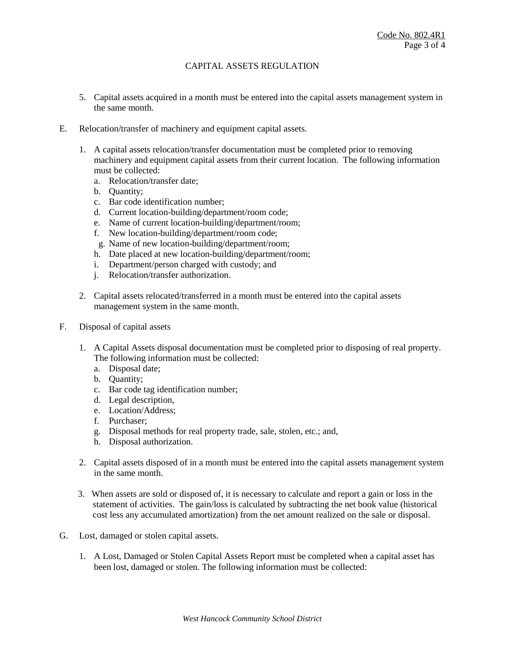- 5. Capital assets acquired in a month must be entered into the capital assets management system in the same month.
- E. Relocation/transfer of machinery and equipment capital assets.
	- 1. A capital assets relocation/transfer documentation must be completed prior to removing machinery and equipment capital assets from their current location. The following information must be collected:
		- a. Relocation/transfer date;
		- b. Quantity;
		- c. Bar code identification number;
		- d. Current location-building/department/room code;
		- e. Name of current location-building/department/room;
		- f. New location-building/department/room code;
		- g. Name of new location-building/department/room;
		- h. Date placed at new location-building/department/room;
		- i. Department/person charged with custody; and
		- j. Relocation/transfer authorization.
	- 2. Capital assets relocated/transferred in a month must be entered into the capital assets management system in the same month.
- F. Disposal of capital assets
	- 1. A Capital Assets disposal documentation must be completed prior to disposing of real property. The following information must be collected:
		- a. Disposal date;
		- b. Quantity;
		- c. Bar code tag identification number;
		- d. Legal description,
		- e. Location/Address;
		- f. Purchaser;
		- g. Disposal methods for real property trade, sale, stolen, etc.; and,
		- h. Disposal authorization.
	- 2. Capital assets disposed of in a month must be entered into the capital assets management system in the same month.
	- 3. When assets are sold or disposed of, it is necessary to calculate and report a gain or loss in the statement of activities. The gain/loss is calculated by subtracting the net book value (historical cost less any accumulated amortization) from the net amount realized on the sale or disposal.
- G. Lost, damaged or stolen capital assets.
	- 1. A Lost, Damaged or Stolen Capital Assets Report must be completed when a capital asset has been lost, damaged or stolen. The following information must be collected: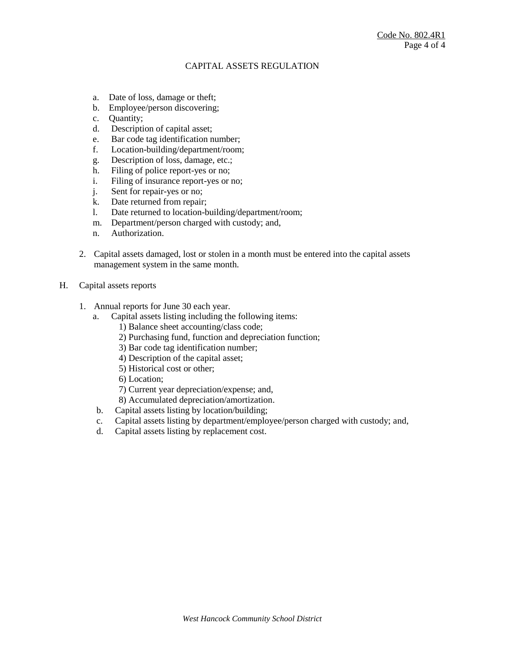- a. Date of loss, damage or theft;
- b. Employee/person discovering;
- c. Quantity;
- d. Description of capital asset;
- e. Bar code tag identification number;
- f. Location-building/department/room;
- g. Description of loss, damage, etc.;
- h. Filing of police report-yes or no;
- i. Filing of insurance report-yes or no;
- j. Sent for repair-yes or no;
- k. Date returned from repair;
- l. Date returned to location-building/department/room;
- m. Department/person charged with custody; and,
- n. Authorization.
- 2. Capital assets damaged, lost or stolen in a month must be entered into the capital assets management system in the same month.
- H. Capital assets reports
	- 1. Annual reports for June 30 each year.
		- a. Capital assets listing including the following items:
			- 1) Balance sheet accounting/class code;
			- 2) Purchasing fund, function and depreciation function;
			- 3) Bar code tag identification number;
			- 4) Description of the capital asset;
			- 5) Historical cost or other;
			- 6) Location;
			- 7) Current year depreciation/expense; and,
			- 8) Accumulated depreciation/amortization.
		- b. Capital assets listing by location/building;
		- c. Capital assets listing by department/employee/person charged with custody; and,
		- d. Capital assets listing by replacement cost.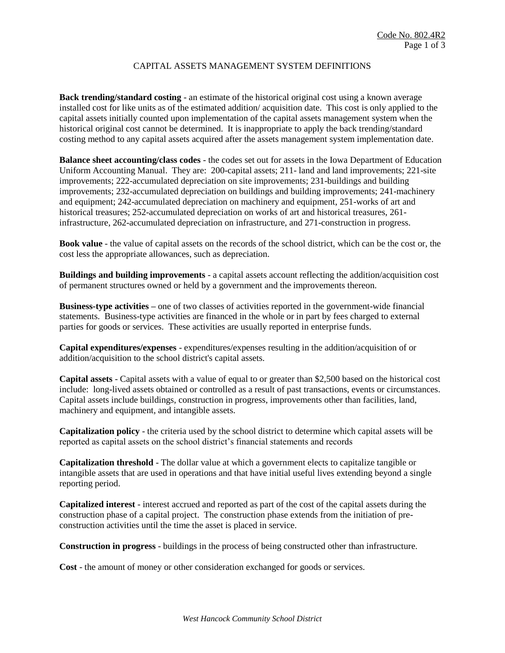# CAPITAL ASSETS MANAGEMENT SYSTEM DEFINITIONS

**Back trending/standard costing** - an estimate of the historical original cost using a known average installed cost for like units as of the estimated addition/ acquisition date. This cost is only applied to the capital assets initially counted upon implementation of the capital assets management system when the historical original cost cannot be determined. It is inappropriate to apply the back trending/standard costing method to any capital assets acquired after the assets management system implementation date.

**Balance sheet accounting/class codes** - the codes set out for assets in the Iowa Department of Education Uniform Accounting Manual. They are: 200-capital assets; 211- land and land improvements; 221-site improvements; 222-accumulated depreciation on site improvements; 231-buildings and building improvements; 232-accumulated depreciation on buildings and building improvements; 241-machinery and equipment; 242-accumulated depreciation on machinery and equipment, 251-works of art and historical treasures; 252-accumulated depreciation on works of art and historical treasures, 261 infrastructure, 262-accumulated depreciation on infrastructure, and 271-construction in progress.

**Book value** - the value of capital assets on the records of the school district, which can be the cost or, the cost less the appropriate allowances, such as depreciation.

**Buildings and building improvements** - a capital assets account reflecting the addition/acquisition cost of permanent structures owned or held by a government and the improvements thereon.

**Business-type activities –** one of two classes of activities reported in the government-wide financial statements. Business-type activities are financed in the whole or in part by fees charged to external parties for goods or services. These activities are usually reported in enterprise funds.

**Capital expenditures/expenses** - expenditures/expenses resulting in the addition/acquisition of or addition/acquisition to the school district's capital assets.

**Capital assets** - Capital assets with a value of equal to or greater than \$2,500 based on the historical cost include: long-lived assets obtained or controlled as a result of past transactions, events or circumstances. Capital assets include buildings, construction in progress, improvements other than facilities, land, machinery and equipment, and intangible assets.

**Capitalization policy** - the criteria used by the school district to determine which capital assets will be reported as capital assets on the school district's financial statements and records

**Capitalization threshold** - The dollar value at which a government elects to capitalize tangible or intangible assets that are used in operations and that have initial useful lives extending beyond a single reporting period.

**Capitalized interest** - interest accrued and reported as part of the cost of the capital assets during the construction phase of a capital project. The construction phase extends from the initiation of preconstruction activities until the time the asset is placed in service.

**Construction in progress** - buildings in the process of being constructed other than infrastructure.

**Cost** - the amount of money or other consideration exchanged for goods or services.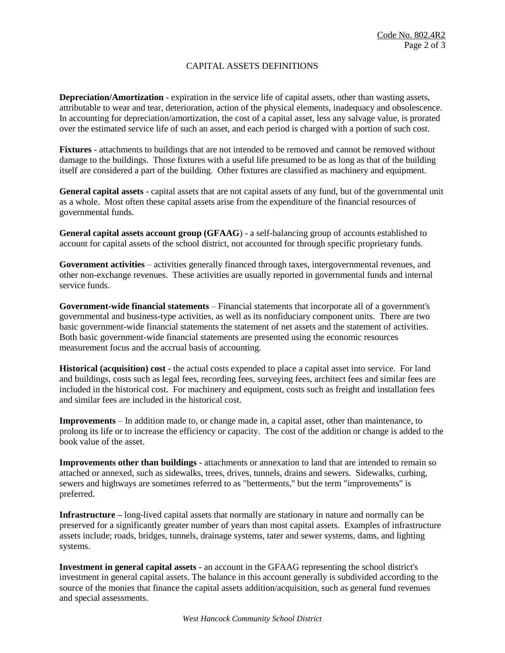# CAPITAL ASSETS DEFINITIONS

**Depreciation/Amortization** - expiration in the service life of capital assets, other than wasting assets, attributable to wear and tear, deterioration, action of the physical elements, inadequacy and obsolescence. In accounting for depreciation/amortization, the cost of a capital asset, less any salvage value, is prorated over the estimated service life of such an asset, and each period is charged with a portion of such cost.

**Fixtures** - attachments to buildings that are not intended to be removed and cannot be removed without damage to the buildings. Those fixtures with a useful life presumed to be as long as that of the building itself are considered a part of the building. Other fixtures are classified as machinery and equipment.

**General capital assets** - capital assets that are not capital assets of any fund, but of the governmental unit as a whole. Most often these capital assets arise from the expenditure of the financial resources of governmental funds.

**General capital assets account group (GFAAG**) - a self-balancing group of accounts established to account for capital assets of the school district, not accounted for through specific proprietary funds.

**Government activities** – activities generally financed through taxes, intergovernmental revenues, and other non-exchange revenues. These activities are usually reported in governmental funds and internal service funds.

**Government-wide financial statements** – Financial statements that incorporate all of a government's governmental and business-type activities, as well as its nonfiduciary component units. There are two basic government-wide financial statements the statement of net assets and the statement of activities. Both basic government-wide financial statements are presented using the economic resources measurement focus and the accrual basis of accounting.

**Historical (acquisition) cost** - the actual costs expended to place a capital asset into service. For land and buildings, costs such as legal fees, recording fees, surveying fees, architect fees and similar fees are included in the historical cost. For machinery and equipment, costs such as freight and installation fees and similar fees are included in the historical cost.

**Improvements** – In addition made to, or change made in, a capital asset, other than maintenance, to prolong its life or to increase the efficiency or capacity. The cost of the addition or change is added to the book value of the asset.

**Improvements other than buildings** - attachments or annexation to land that are intended to remain so attached or annexed, such as sidewalks, trees, drives, tunnels, drains and sewers. Sidewalks, curbing, sewers and highways are sometimes referred to as "betterments," but the term "improvements" is preferred.

**Infrastructure –** long-lived capital assets that normally are stationary in nature and normally can be preserved for a significantly greater number of years than most capital assets. Examples of infrastructure assets include; roads, bridges, tunnels, drainage systems, tater and sewer systems, dams, and lighting systems.

**Investment in general capital assets** - an account in the GFAAG representing the school district's investment in general capital assets. The balance in this account generally is subdivided according to the source of the monies that finance the capital assets addition/acquisition, such as general fund revenues and special assessments.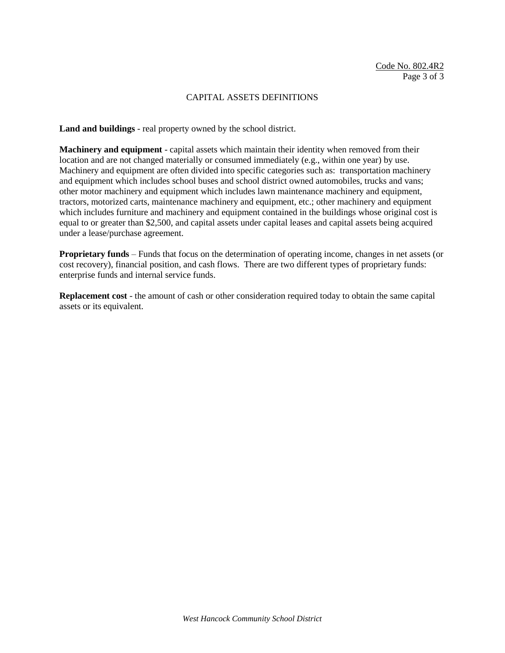### CAPITAL ASSETS DEFINITIONS

**Land and buildings** - real property owned by the school district.

**Machinery and equipment** - capital assets which maintain their identity when removed from their location and are not changed materially or consumed immediately (e.g., within one year) by use. Machinery and equipment are often divided into specific categories such as: transportation machinery and equipment which includes school buses and school district owned automobiles, trucks and vans; other motor machinery and equipment which includes lawn maintenance machinery and equipment, tractors, motorized carts, maintenance machinery and equipment, etc.; other machinery and equipment which includes furniture and machinery and equipment contained in the buildings whose original cost is equal to or greater than \$2,500, and capital assets under capital leases and capital assets being acquired under a lease/purchase agreement.

**Proprietary funds** – Funds that focus on the determination of operating income, changes in net assets (or cost recovery), financial position, and cash flows. There are two different types of proprietary funds: enterprise funds and internal service funds.

**Replacement cost** - the amount of cash or other consideration required today to obtain the same capital assets or its equivalent.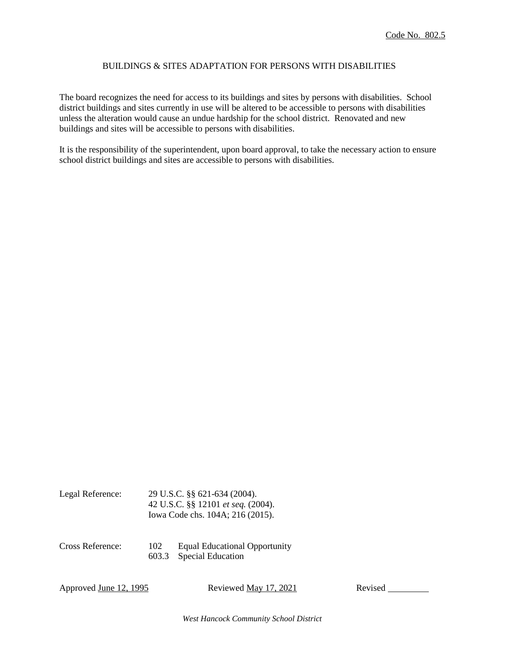## BUILDINGS & SITES ADAPTATION FOR PERSONS WITH DISABILITIES

The board recognizes the need for access to its buildings and sites by persons with disabilities. School district buildings and sites currently in use will be altered to be accessible to persons with disabilities unless the alteration would cause an undue hardship for the school district. Renovated and new buildings and sites will be accessible to persons with disabilities.

It is the responsibility of the superintendent, upon board approval, to take the necessary action to ensure school district buildings and sites are accessible to persons with disabilities.

| Legal Reference: | 29 U.S.C. §§ 621-634 (2004).<br>42 U.S.C. §§ 12101 et seq. (2004).<br>Iowa Code chs. 104A; 216 (2015). |                                                                  |  |
|------------------|--------------------------------------------------------------------------------------------------------|------------------------------------------------------------------|--|
| Cross Reference: | 102<br>603.3                                                                                           | <b>Equal Educational Opportunity</b><br><b>Special Education</b> |  |

Approved June 12, 1995 Reviewed May 17, 2021 Revised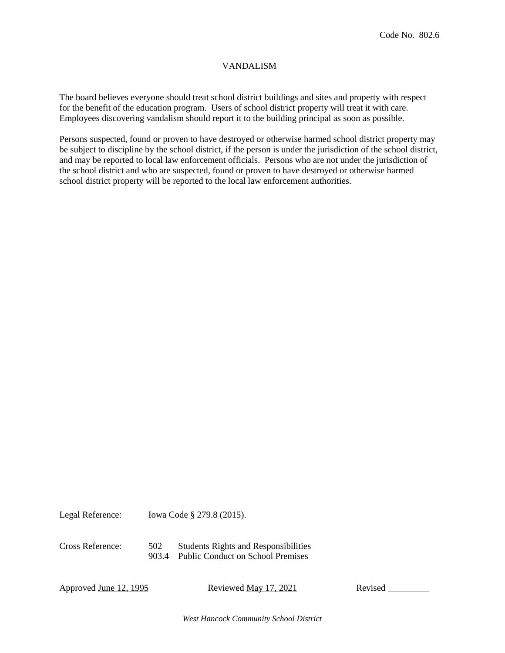### VANDALISM

The board believes everyone should treat school district buildings and sites and property with respect for the benefit of the education program. Users of school district property will treat it with care. Employees discovering vandalism should report it to the building principal as soon as possible.

Persons suspected, found or proven to have destroyed or otherwise harmed school district property may be subject to discipline by the school district, if the person is under the jurisdiction of the school district, and may be reported to local law enforcement officials. Persons who are not under the jurisdiction of the school district and who are suspected, found or proven to have destroyed or otherwise harmed school district property will be reported to the local law enforcement authorities.

Legal Reference: Iowa Code § 279.8 (2015).

Cross Reference: 502 Students Rights and Responsibilities 903.4 Public Conduct on School Premises

Approved <u>June 12, 1995</u> Reviewed <u>May 17, 2021</u> Revised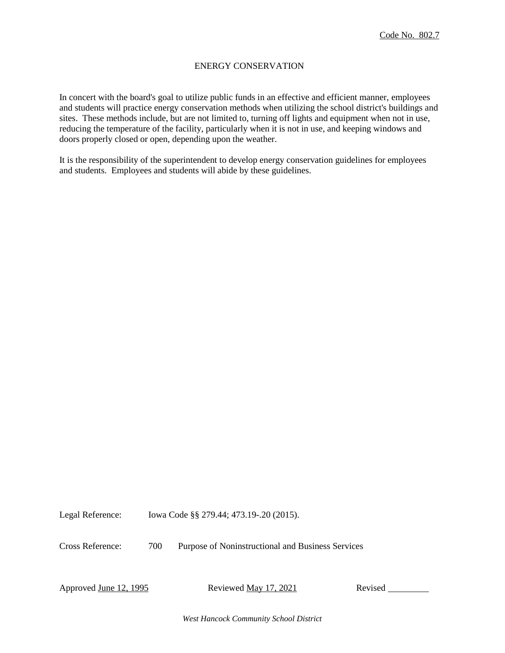### ENERGY CONSERVATION

In concert with the board's goal to utilize public funds in an effective and efficient manner, employees and students will practice energy conservation methods when utilizing the school district's buildings and sites. These methods include, but are not limited to, turning off lights and equipment when not in use, reducing the temperature of the facility, particularly when it is not in use, and keeping windows and doors properly closed or open, depending upon the weather.

It is the responsibility of the superintendent to develop energy conservation guidelines for employees and students. Employees and students will abide by these guidelines.

Legal Reference: Iowa Code §§ 279.44; 473.19-.20 (2015).

Cross Reference: 700 Purpose of Noninstructional and Business Services

Approved June 12, 1995 Reviewed <u>May 17, 2021</u> Revised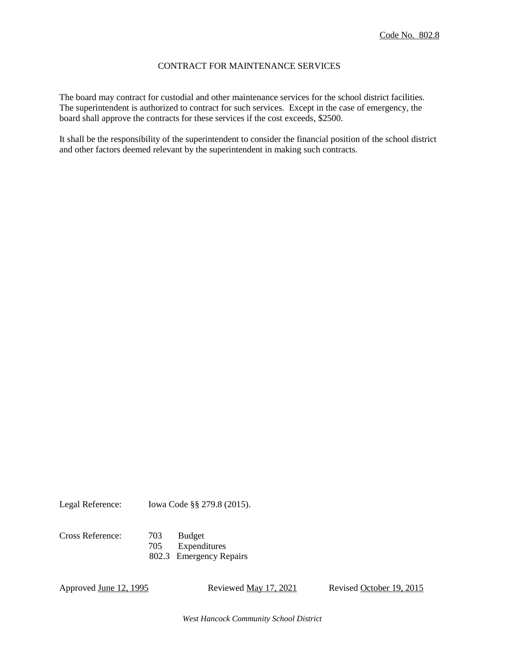### CONTRACT FOR MAINTENANCE SERVICES

The board may contract for custodial and other maintenance services for the school district facilities. The superintendent is authorized to contract for such services. Except in the case of emergency, the board shall approve the contracts for these services if the cost exceeds, \$2500.

It shall be the responsibility of the superintendent to consider the financial position of the school district and other factors deemed relevant by the superintendent in making such contracts.

Legal Reference: Iowa Code §§ 279.8 (2015).

Cross Reference: 703 Budget 705 Expenditures 802.3 Emergency Repairs

Approved June 12, 1995 Reviewed May 17, 2021 Revised October 19, 2015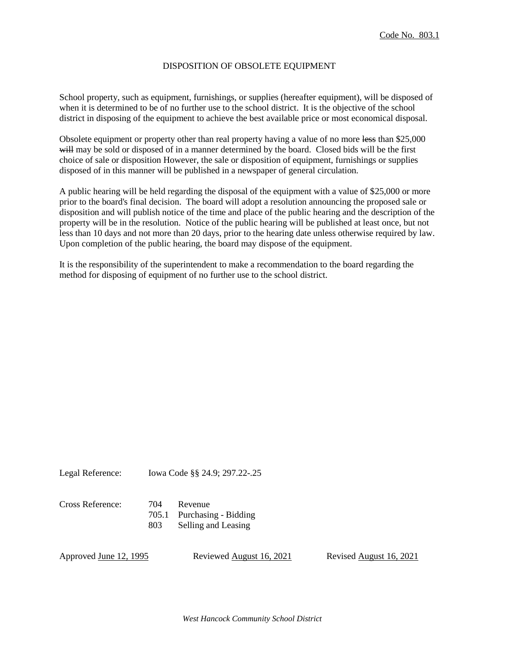### DISPOSITION OF OBSOLETE EQUIPMENT

School property, such as equipment, furnishings, or supplies (hereafter equipment), will be disposed of when it is determined to be of no further use to the school district. It is the objective of the school district in disposing of the equipment to achieve the best available price or most economical disposal.

Obsolete equipment or property other than real property having a value of no more less than \$25,000 will may be sold or disposed of in a manner determined by the board. Closed bids will be the first choice of sale or disposition However, the sale or disposition of equipment, furnishings or supplies disposed of in this manner will be published in a newspaper of general circulation.

A public hearing will be held regarding the disposal of the equipment with a value of \$25,000 or more prior to the board's final decision. The board will adopt a resolution announcing the proposed sale or disposition and will publish notice of the time and place of the public hearing and the description of the property will be in the resolution. Notice of the public hearing will be published at least once, but not less than 10 days and not more than 20 days, prior to the hearing date unless otherwise required by law. Upon completion of the public hearing, the board may dispose of the equipment.

It is the responsibility of the superintendent to make a recommendation to the board regarding the method for disposing of equipment of no further use to the school district.

Legal Reference: Iowa Code §§ 24.9; 297.22-.25

| Cross Reference: | 704 | Revenue        |
|------------------|-----|----------------|
|                  |     | 705.1 Purchasi |

chasing - Bidding 803 Selling and Leasing

Approved June 12, 1995 Reviewed August 16, 2021 Revised August 16, 2021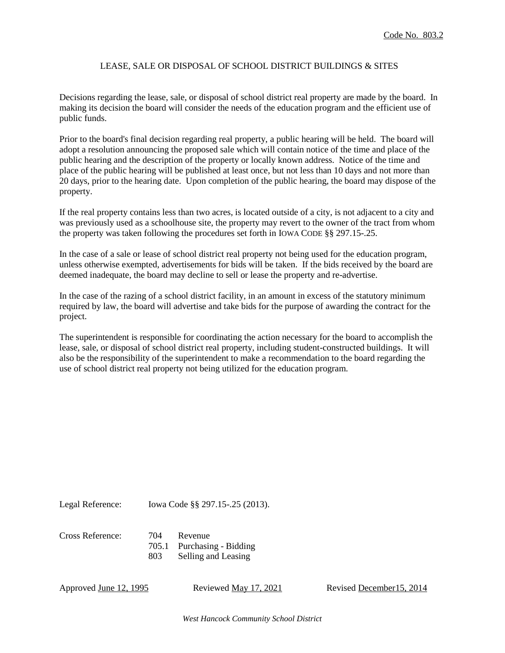### LEASE, SALE OR DISPOSAL OF SCHOOL DISTRICT BUILDINGS & SITES

Decisions regarding the lease, sale, or disposal of school district real property are made by the board. In making its decision the board will consider the needs of the education program and the efficient use of public funds.

Prior to the board's final decision regarding real property, a public hearing will be held. The board will adopt a resolution announcing the proposed sale which will contain notice of the time and place of the public hearing and the description of the property or locally known address. Notice of the time and place of the public hearing will be published at least once, but not less than 10 days and not more than 20 days, prior to the hearing date. Upon completion of the public hearing, the board may dispose of the property.

If the real property contains less than two acres, is located outside of a city, is not adjacent to a city and was previously used as a schoolhouse site, the property may revert to the owner of the tract from whom the property was taken following the procedures set forth in IOWA CODE §§ 297.15-.25.

In the case of a sale or lease of school district real property not being used for the education program, unless otherwise exempted, advertisements for bids will be taken. If the bids received by the board are deemed inadequate, the board may decline to sell or lease the property and re-advertise.

In the case of the razing of a school district facility, in an amount in excess of the statutory minimum required by law, the board will advertise and take bids for the purpose of awarding the contract for the project.

The superintendent is responsible for coordinating the action necessary for the board to accomplish the lease, sale, or disposal of school district real property, including student-constructed buildings. It will also be the responsibility of the superintendent to make a recommendation to the board regarding the use of school district real property not being utilized for the education program.

Legal Reference: Iowa Code §§ 297.15-.25 (2013).

Cross Reference: 704 Revenue

705.1 Purchasing - Bidding 803 Selling and Leasing

Approved June 12, 1995 Reviewed May 17, 2021 Revised December 15, 2014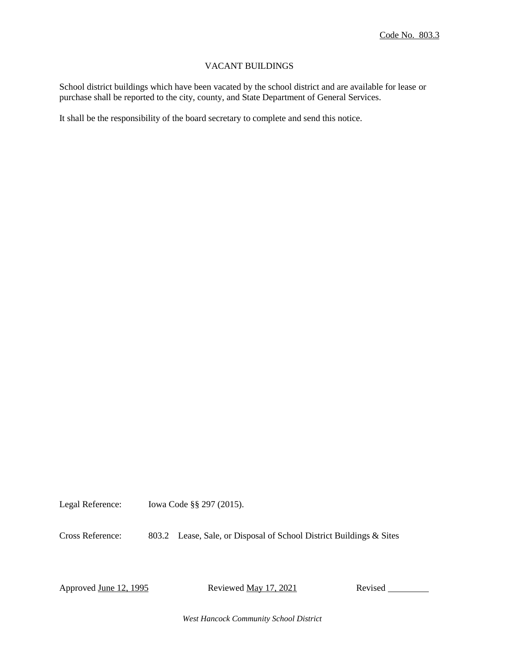### VACANT BUILDINGS

School district buildings which have been vacated by the school district and are available for lease or purchase shall be reported to the city, county, and State Department of General Services.

It shall be the responsibility of the board secretary to complete and send this notice.

Legal Reference: Iowa Code §§ 297 (2015).

Cross Reference: 803.2 Lease, Sale, or Disposal of School District Buildings & Sites

Approved June 12, 1995 Reviewed <u>May 17, 2021</u> Revised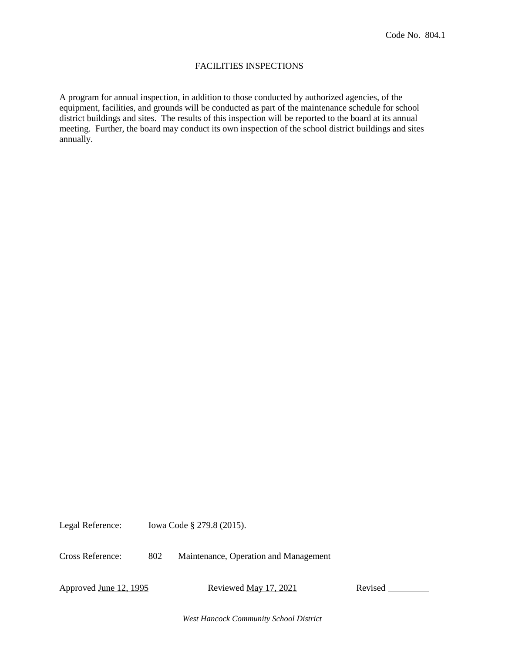### FACILITIES INSPECTIONS

A program for annual inspection, in addition to those conducted by authorized agencies, of the equipment, facilities, and grounds will be conducted as part of the maintenance schedule for school district buildings and sites. The results of this inspection will be reported to the board at its annual meeting. Further, the board may conduct its own inspection of the school district buildings and sites annually.

Legal Reference: Iowa Code § 279.8 (2015).

Cross Reference: 802 Maintenance, Operation and Management

Approved June 12, 1995 Reviewed May 17, 2021 Revised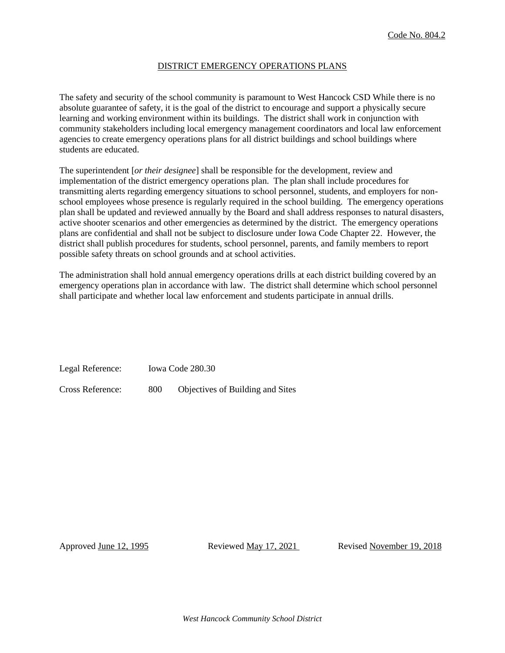#### DISTRICT EMERGENCY OPERATIONS PLANS

The safety and security of the school community is paramount to West Hancock CSD While there is no absolute guarantee of safety, it is the goal of the district to encourage and support a physically secure learning and working environment within its buildings. The district shall work in conjunction with community stakeholders including local emergency management coordinators and local law enforcement agencies to create emergency operations plans for all district buildings and school buildings where students are educated.

The superintendent [*or their designee*] shall be responsible for the development, review and implementation of the district emergency operations plan. The plan shall include procedures for transmitting alerts regarding emergency situations to school personnel, students, and employers for nonschool employees whose presence is regularly required in the school building. The emergency operations plan shall be updated and reviewed annually by the Board and shall address responses to natural disasters, active shooter scenarios and other emergencies as determined by the district. The emergency operations plans are confidential and shall not be subject to disclosure under Iowa Code Chapter 22. However, the district shall publish procedures for students, school personnel, parents, and family members to report possible safety threats on school grounds and at school activities.

The administration shall hold annual emergency operations drills at each district building covered by an emergency operations plan in accordance with law. The district shall determine which school personnel shall participate and whether local law enforcement and students participate in annual drills.

Legal Reference: Iowa Code 280.30

Cross Reference: 800 Objectives of Building and Sites

Approved <u>June 12, 1995</u> Reviewed <u>May 17, 2021</u> Revised November 19, 2018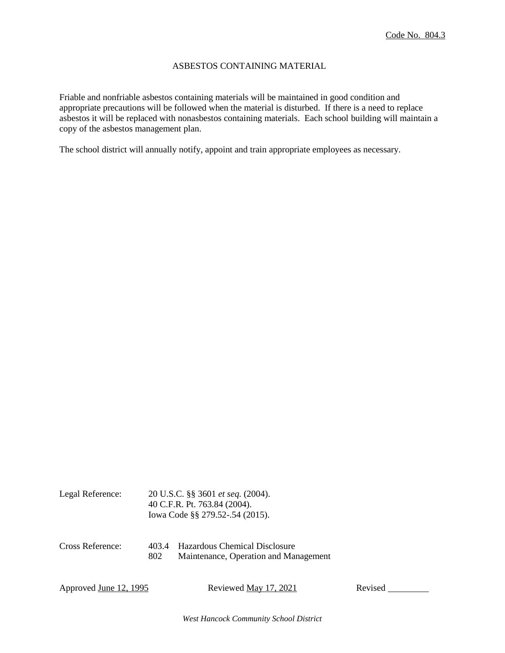#### ASBESTOS CONTAINING MATERIAL

Friable and nonfriable asbestos containing materials will be maintained in good condition and appropriate precautions will be followed when the material is disturbed. If there is a need to replace asbestos it will be replaced with nonasbestos containing materials. Each school building will maintain a copy of the asbestos management plan.

The school district will annually notify, appoint and train appropriate employees as necessary.

| Legal Reference: | 20 U.S.C. §§ 3601 <i>et seq.</i> (2004).<br>40 C.F.R. Pt. 763.84 (2004).<br>Iowa Code §§ 279.52-.54 (2015). |                                                                        |  |
|------------------|-------------------------------------------------------------------------------------------------------------|------------------------------------------------------------------------|--|
| Cross Reference: | 4034<br>802                                                                                                 | Hazardous Chemical Disclosure<br>Maintenance, Operation and Management |  |

Approved June 12, 1995 Reviewed May 17, 2021 Revised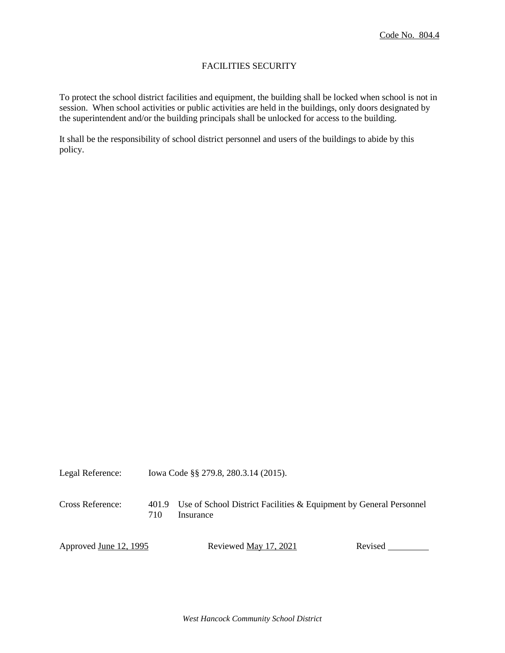## FACILITIES SECURITY

To protect the school district facilities and equipment, the building shall be locked when school is not in session. When school activities or public activities are held in the buildings, only doors designated by the superintendent and/or the building principals shall be unlocked for access to the building.

It shall be the responsibility of school district personnel and users of the buildings to abide by this policy.

Legal Reference: Iowa Code §§ 279.8, 280.3.14 (2015).

Cross Reference: 401.9 Use of School District Facilities & Equipment by General Personnel 710 Insurance

Approved June 12, 1995 Reviewed May 17, 2021 Revised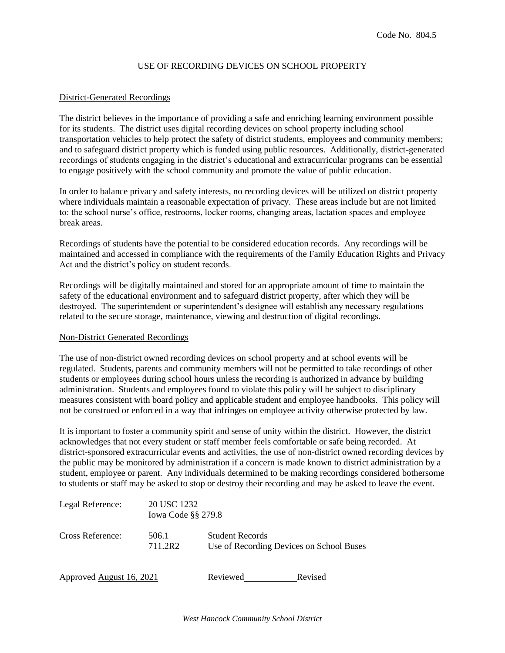### USE OF RECORDING DEVICES ON SCHOOL PROPERTY

#### District-Generated Recordings

The district believes in the importance of providing a safe and enriching learning environment possible for its students. The district uses digital recording devices on school property including school transportation vehicles to help protect the safety of district students, employees and community members; and to safeguard district property which is funded using public resources. Additionally, district-generated recordings of students engaging in the district's educational and extracurricular programs can be essential to engage positively with the school community and promote the value of public education.

In order to balance privacy and safety interests, no recording devices will be utilized on district property where individuals maintain a reasonable expectation of privacy. These areas include but are not limited to: the school nurse's office, restrooms, locker rooms, changing areas, lactation spaces and employee break areas.

Recordings of students have the potential to be considered education records. Any recordings will be maintained and accessed in compliance with the requirements of the Family Education Rights and Privacy Act and the district's policy on student records.

Recordings will be digitally maintained and stored for an appropriate amount of time to maintain the safety of the educational environment and to safeguard district property, after which they will be destroyed. The superintendent or superintendent's designee will establish any necessary regulations related to the secure storage, maintenance, viewing and destruction of digital recordings.

#### Non-District Generated Recordings

The use of non-district owned recording devices on school property and at school events will be regulated. Students, parents and community members will not be permitted to take recordings of other students or employees during school hours unless the recording is authorized in advance by building administration. Students and employees found to violate this policy will be subject to disciplinary measures consistent with board policy and applicable student and employee handbooks. This policy will not be construed or enforced in a way that infringes on employee activity otherwise protected by law.

It is important to foster a community spirit and sense of unity within the district. However, the district acknowledges that not every student or staff member feels comfortable or safe being recorded. At district-sponsored extracurricular events and activities, the use of non-district owned recording devices by the public may be monitored by administration if a concern is made known to district administration by a student, employee or parent. Any individuals determined to be making recordings considered bothersome to students or staff may be asked to stop or destroy their recording and may be asked to leave the event.

| Legal Reference:         | 20 USC 1232<br><b>Iowa Code §§ 279.8</b> |                                                                    |         |
|--------------------------|------------------------------------------|--------------------------------------------------------------------|---------|
| Cross Reference:         | 506.1<br>711.2R2                         | <b>Student Records</b><br>Use of Recording Devices on School Buses |         |
| Approved August 16, 2021 |                                          | Reviewed                                                           | Revised |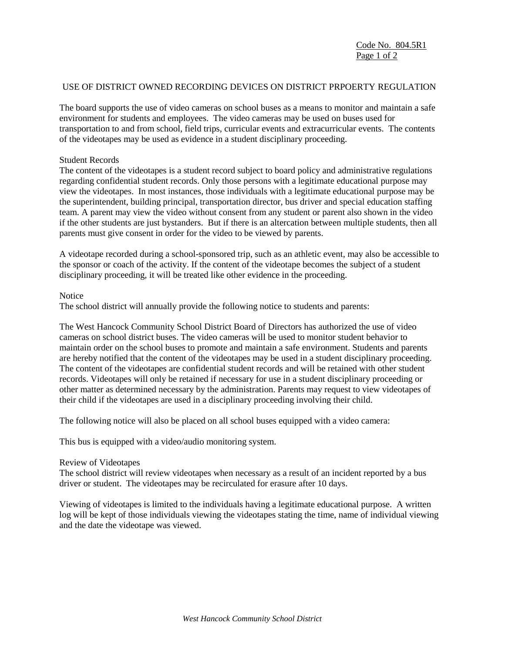Code No. 804.5R1 Page 1 of 2

#### USE OF DISTRICT OWNED RECORDING DEVICES ON DISTRICT PRPOERTY REGULATION

The board supports the use of video cameras on school buses as a means to monitor and maintain a safe environment for students and employees. The video cameras may be used on buses used for transportation to and from school, field trips, curricular events and extracurricular events. The contents of the videotapes may be used as evidence in a student disciplinary proceeding.

#### Student Records

The content of the videotapes is a student record subject to board policy and administrative regulations regarding confidential student records. Only those persons with a legitimate educational purpose may view the videotapes. In most instances, those individuals with a legitimate educational purpose may be the superintendent, building principal, transportation director, bus driver and special education staffing team. A parent may view the video without consent from any student or parent also shown in the video if the other students are just bystanders. But if there is an altercation between multiple students, then all parents must give consent in order for the video to be viewed by parents.

A videotape recorded during a school-sponsored trip, such as an athletic event, may also be accessible to the sponsor or coach of the activity. If the content of the videotape becomes the subject of a student disciplinary proceeding, it will be treated like other evidence in the proceeding.

#### **Notice**

The school district will annually provide the following notice to students and parents:

The West Hancock Community School District Board of Directors has authorized the use of video cameras on school district buses. The video cameras will be used to monitor student behavior to maintain order on the school buses to promote and maintain a safe environment. Students and parents are hereby notified that the content of the videotapes may be used in a student disciplinary proceeding. The content of the videotapes are confidential student records and will be retained with other student records. Videotapes will only be retained if necessary for use in a student disciplinary proceeding or other matter as determined necessary by the administration. Parents may request to view videotapes of their child if the videotapes are used in a disciplinary proceeding involving their child.

The following notice will also be placed on all school buses equipped with a video camera:

This bus is equipped with a video/audio monitoring system.

#### Review of Videotapes

The school district will review videotapes when necessary as a result of an incident reported by a bus driver or student. The videotapes may be recirculated for erasure after 10 days.

Viewing of videotapes is limited to the individuals having a legitimate educational purpose. A written log will be kept of those individuals viewing the videotapes stating the time, name of individual viewing and the date the videotape was viewed.